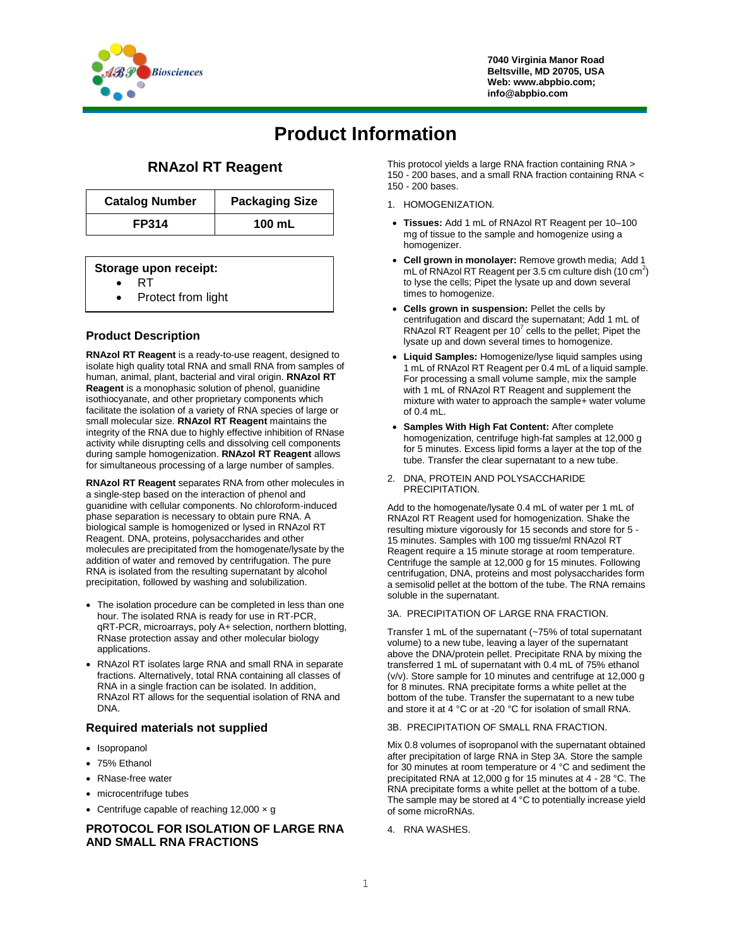

**7040 Virginia Manor Road Beltsville, MD 20705, USA Web: www.abpbio.com; info@abpbio.com**

# **Product Information**

# **RNAzol RT Reagent**

| <b>Catalog Number</b> | <b>Packaging Size</b> |
|-----------------------|-----------------------|
| <b>FP314</b>          | 100 mL                |

#### **Storage upon receipt:**

- RT
- Protect from light

## **Product Description**

**RNAzol RT Reagent** is a ready-to-use reagent, designed to isolate high quality total RNA and small RNA from samples of human, animal, plant, bacterial and viral origin. **RNAzol RT Reagent** is a monophasic solution of phenol, guanidine isothiocyanate, and other proprietary components which facilitate the isolation of a variety of RNA species of large or small molecular size. **RNAzol RT Reagent** maintains the integrity of the RNA due to highly effective inhibition of RNase activity while disrupting cells and dissolving cell components during sample homogenization. **RNAzol RT Reagent** allows for simultaneous processing of a large number of samples.

**RNAzol RT Reagent** separates RNA from other molecules in a single-step based on the interaction of phenol and guanidine with cellular components. No chloroform-induced phase separation is necessary to obtain pure RNA. A biological sample is homogenized or lysed in RNAzol RT Reagent. DNA, proteins, polysaccharides and other molecules are precipitated from the homogenate/lysate by the addition of water and removed by centrifugation. The pure RNA is isolated from the resulting supernatant by alcohol precipitation, followed by washing and solubilization.

- The isolation procedure can be completed in less than one hour. The isolated RNA is ready for use in RT-PCR, qRT-PCR, microarrays, poly A+ selection, northern blotting, RNase protection assay and other molecular biology applications.
- RNAzol RT isolates large RNA and small RNA in separate fractions. Alternatively, total RNA containing all classes of RNA in a single fraction can be isolated. In addition, RNAzol RT allows for the sequential isolation of RNA and DNA.

#### **Required materials not supplied**

- Isopropanol
- 75% Ethanol
- RNase-free water
- microcentrifuge tubes
- Centrifuge capable of reaching  $12,000 \times g$

#### **PROTOCOL FOR ISOLATION OF LARGE RNA AND SMALL RNA FRACTIONS**

This protocol yields a large RNA fraction containing RNA > 150 - 200 bases, and a small RNA fraction containing RNA < 150 - 200 bases.

- 1. HOMOGENIZATION.
- **Tissues:** Add 1 mL of RNAzol RT Reagent per 10–100 mg of tissue to the sample and homogenize using a homogenizer.
- **Cell grown in monolayer:** Remove growth media; Add 1 mL of RNAzol RT Reagent per  $3.5$  cm culture dish (10 cm<sup>2</sup>) to lyse the cells; Pipet the lysate up and down several times to homogenize.
- **Cells grown in suspension:** Pellet the cells by centrifugation and discard the supernatant; Add 1 mL of RNAzol RT Reagent per  $10^7$  cells to the pellet; Pipet the lysate up and down several times to homogenize.
- **Liquid Samples:** Homogenize/lyse liquid samples using 1 mL of RNAzol RT Reagent per 0.4 mL of a liquid sample. For processing a small volume sample, mix the sample with 1 mL of RNAzol RT Reagent and supplement the mixture with water to approach the sample+ water volume of 0.4 mL.
- **Samples With High Fat Content:** After complete homogenization, centrifuge high-fat samples at 12,000 g for 5 minutes. Excess lipid forms a layer at the top of the tube. Transfer the clear supernatant to a new tube.
- 2. DNA, PROTEIN AND POLYSACCHARIDE PRECIPITATION.

Add to the homogenate/lysate 0.4 mL of water per 1 mL of RNAzol RT Reagent used for homogenization. Shake the resulting mixture vigorously for 15 seconds and store for 5 - 15 minutes. Samples with 100 mg tissue/ml RNAzol RT Reagent require a 15 minute storage at room temperature. Centrifuge the sample at 12,000 g for 15 minutes. Following centrifugation, DNA, proteins and most polysaccharides form a semisolid pellet at the bottom of the tube. The RNA remains soluble in the supernatant.

3A. PRECIPITATION OF LARGE RNA FRACTION.

Transfer 1 mL of the supernatant (~75% of total supernatant volume) to a new tube, leaving a layer of the supernatant above the DNA/protein pellet. Precipitate RNA by mixing the transferred 1 mL of supernatant with 0.4 mL of 75% ethanol (v/v). Store sample for 10 minutes and centrifuge at 12,000 g for 8 minutes. RNA precipitate forms a white pellet at the bottom of the tube. Transfer the supernatant to a new tube and store it at 4 °C or at -20 °C for isolation of small RNA.

#### 3B. PRECIPITATION OF SMALL RNA FRACTION.

Mix 0.8 volumes of isopropanol with the supernatant obtained after precipitation of large RNA in Step 3A. Store the sample for 30 minutes at room temperature or 4 °C and sediment the precipitated RNA at 12,000 g for 15 minutes at 4 - 28 °C. The RNA precipitate forms a white pellet at the bottom of a tube. The sample may be stored at  $4^{\circ}$ C to potentially increase yield of some microRNAs.

4. RNA WASHES.